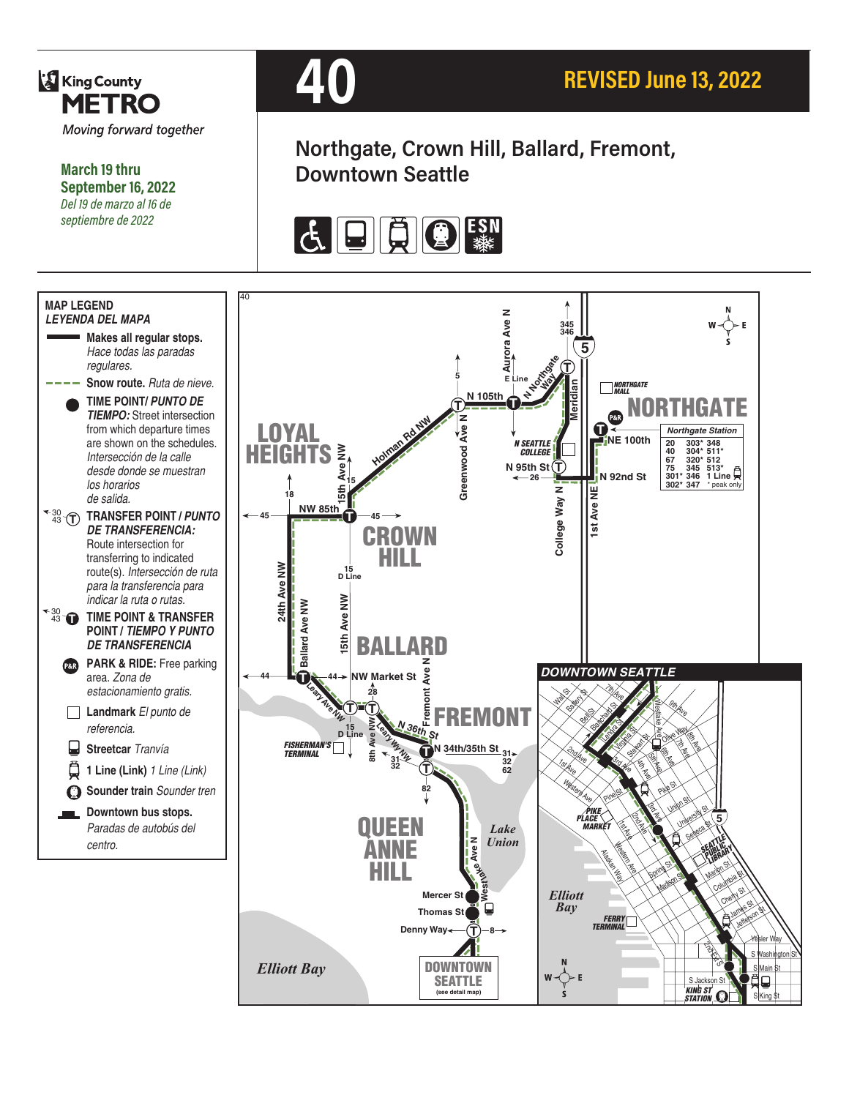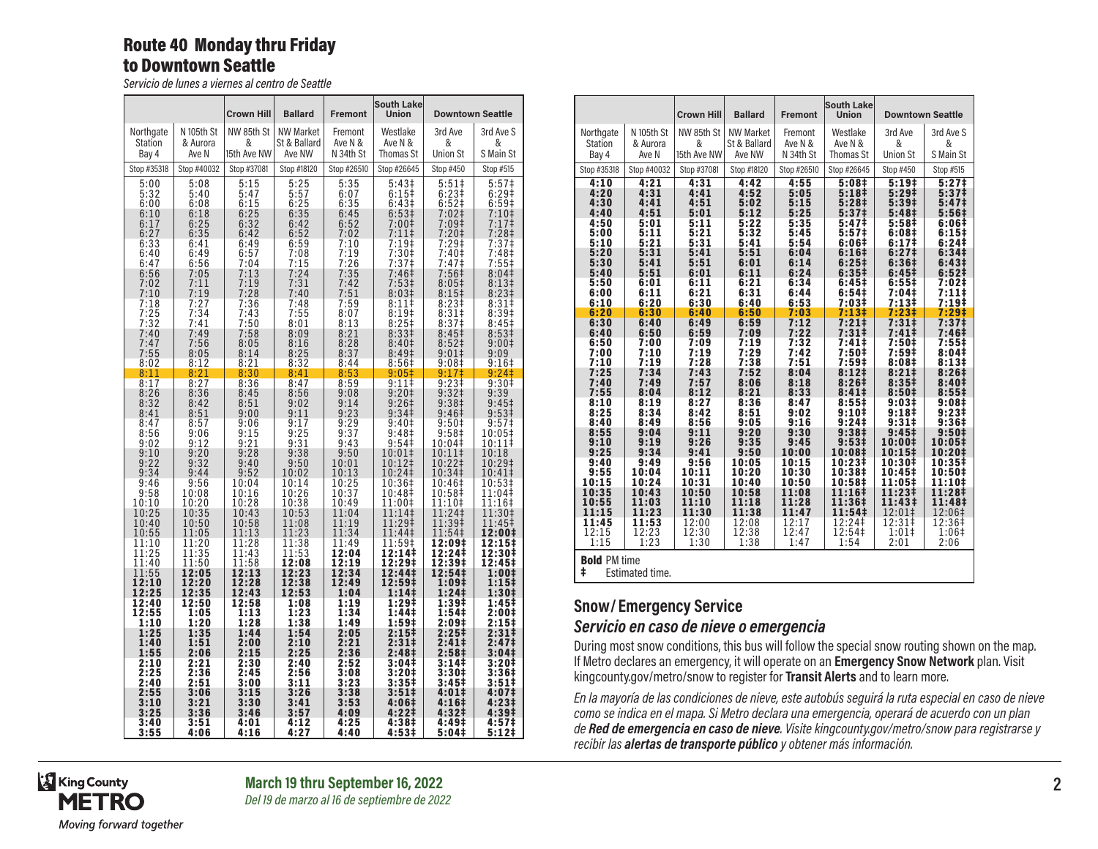### Route 40 Monday thru Friday to Downtown Seattle

*Servicio de lunes a viernes al centro de Seattle*

|                         |                   | <b>Crown Hill</b> | <b>Ballard</b>         | <b>Fremont</b>       | <b>South Lake</b><br><b>Union</b>      | <b>Downtown Seattle</b>          |                                        |
|-------------------------|-------------------|-------------------|------------------------|----------------------|----------------------------------------|----------------------------------|----------------------------------------|
| Northgate               | N 105th St        | NW 85th St        | <b>NW Market</b>       | Fremont              | Westlake                               | 3rd Ave                          | 3rd Ave S                              |
| <b>Station</b><br>Bay 4 | & Aurora<br>Ave N | &<br>15th Ave NW  | St & Ballard<br>Ave NW | Ave N &<br>N 34th St | Ave N &<br><b>Thomas St</b>            | &<br><b>Union St</b>             | &<br>S Main St                         |
| Stop #35318             | Stop #40032       | Stop #37081       | Stop #18120            | Stop #26510          | Stop #26645                            | Stop #450                        | Stop #515                              |
| 5:00<br>5:32            | 5:08              | 5:15<br>5:47      | 5:25<br>5:57           | 5:35                 | 5:43 <sup>‡</sup>                      | 5:51#<br>$6:23+$                 | 5:57 <sup>‡</sup>                      |
| 6:00                    | 5:40<br>6:08      | 6:15              | 6:25                   | 6:07<br>6:35         | 6:15#<br>6:43 <sup>‡</sup>             | $6:52$ ‡                         | 6:29‡<br>6:59#                         |
| 6:10<br>6:17            | 6:18<br>6:25      | 6:25<br>6:32      | 6:35<br>6:42           | 6:45<br>6:52         | 6:53 <sup>‡</sup><br>$7:00$ ‡          | $7:02$ ‡<br>7:09‡                | $7:10+$<br>$7:17$ ‡                    |
| 6:27                    | 6:35              | 6:42              | 6:52                   | 7:02                 | $7:11$ ‡                               | 7:20‡                            | $7:28+$                                |
| 6:33<br>6:40            | 6:41<br>6:49      | 6:49<br>6:57      | 6:59<br>7:08           | 7:10<br>7:19         | $7:19+$<br>7:30 <sup>‡</sup>           | $7:29+$<br>7:40‡                 | 7:37‡<br>7:48‡                         |
| 6:47                    | 6:56              | 7:04              | 7:15                   | 7:26                 | 7:37 <sup>‡</sup>                      | 7:47‡                            | 7:55‡                                  |
| 6:56<br>7:02            | 7:05<br>7:11      | 7:13<br>7:19      | 7:24<br>7:31           | 7:35<br>7:42         | 7:46 <sup>‡</sup><br>7:53 <sup>‡</sup> | $7:56\ddagger$<br>$8:05\ddagger$ | 8:04 <sup>‡</sup><br>8:13‡             |
| 7:10                    | 7:19              | 7:28              | 7:40                   | 7:51                 | 8:03#                                  | 8:15‡                            | 8:23 <sup>‡</sup>                      |
| 7:18<br>7:25            | 7:27<br>7:34      | 7:36<br>7:43      | 7:48<br>7:55           | 7:59<br>8:07         | 8:11‡<br>8:19#                         | 8:23 <sup>‡</sup><br>8:31‡       | 8:31‡<br>8:39‡                         |
| 7:32                    | 7:41<br>7:49      | 7:50<br>7:58      | 8:01                   | 8:13<br>8:21         | 8:25#<br>8:33 <sup>‡</sup>             | 8:37 <sup>‡</sup>                | 8:45‡<br>8:53 <sup>‡</sup>             |
| 7:40<br>7:47            | 7:56              | 8:05              | 8:09<br>8:16           | 8:28                 | 8:40‡                                  | 8:45‡<br>8:52                    | 9:00‡                                  |
| 7:55<br>8:02            | 8:05<br>8:12      | 8:14<br>8:21      | 8:25<br>8:32           | 8:37<br>8:44         | 8:49 <sup>‡</sup><br>8:56‡             | $9:01\pm$<br>9:08‡               | 9:09<br>$9:16+$                        |
| 8:11                    | 8:21              | 8:30              | 8:41                   | 8:53                 | 9:05‡                                  | 9:17‡                            | 9:241                                  |
| 8:17<br>8:26            | 8:27<br>8:36      | 8:36<br>8:45      | 8:47<br>8:56           | 8:59<br>9:08         | 9:11‡<br>9:20‡                         | 9:23‡<br>9:32 <sup>‡</sup>       | 9:30 <sup>†</sup><br>9:39              |
| 8:32                    | 8:42              | 8:51              | 9:02                   | 9:14                 | 9:26 <sup>†</sup>                      | 9:38‡                            | 9:45 <sup>‡</sup>                      |
| 8:41<br>8:47            | 8:51<br>8:57      | 9:00<br>9:06      | 9:11<br>9:17           | 9:23<br>9:29         | 9:34 <sup>‡</sup><br>9:40‡             | 9:46‡<br>9:50‡                   | 9:53 <sup>‡</sup><br>9:57‡             |
| 8:56                    | 9:06              | 9:15              | 9:25                   | 9:37                 | 9:48 <sup>‡</sup>                      | 9:58‡                            | 10:05‡                                 |
| 9:02<br>9:10            | 9:12<br>9:20      | 9:21<br>9:28      | 9:31<br>9:38           | 9:43<br>9:50         | 9:54<br>$10:01\ddagger$                | 10:04‡<br>10:11‡                 | 10:11‡<br>10:18                        |
| 9:22                    | 9:32              | 9:40              | 9:50                   | 10:01                | 10:12‡                                 | 10:22‡                           | 10:29‡                                 |
| 9:34<br>9:46            | 9:44<br>9:56      | 9:52<br>10:04     | 10:02<br>10:14         | 10:13<br>10:25       | 10:24‡<br>10:36‡                       | 10:34‡<br>10:46‡                 | 10:41‡<br>10:53‡                       |
| 9:58                    | 10:08             | 10:16             | 10:26                  | 10:37                | 10:48‡                                 | 10:58‡                           | 11:04‡                                 |
| 10:10<br>10:25          | 10:20<br>10:35    | 10:28<br>10:43    | 10:38<br>10:53         | 10:49<br>11:04       | 11:00‡<br>11:14‡                       | 11:10‡<br>11:24‡                 | $11:16+$<br>11:30‡                     |
| 10:40<br>10:55          | 10:50<br>11:05    | 10:58<br>11:13    | 11:08<br>11:23         | 11:19<br>11:34       | 11:29‡<br>11:44‡                       | 11:39‡<br>11:54‡                 | 11:45‡<br>12:00‡                       |
| 11:10                   | 11:20             | 11:28             | 11:38                  | 11:49                | 11:59‡                                 | 12:09‡                           | 12:15‡                                 |
| 11:25<br>11:40          | 11:35<br>11:50    | 11:43<br>11:58    | 11:53<br>12:08         | 12:04<br>12:19       | 12:14‡<br>12:29‡                       | 12:24‡<br>12:39‡                 | 12:30‡<br>12:45‡                       |
| 11:55                   | 12:05             | 12:13             | 12:23                  | 12:34                | 12:44‡                                 | 12:54‡                           | 1:00‡                                  |
| 12:10<br>12:25          | 12:20<br>12:35    | 12:28<br>12:43    | 12:38<br>12:53         | 12:49<br>1:04        | 12:59‡<br>1:14‡                        | 1:09‡<br>1:24‡                   | 1:15‡<br>1:30‡                         |
| 12:40                   | 12:50             | 12:58             | 1:08                   | 1:19                 | 1:29‡                                  | 1:39‡                            | 1:45‡                                  |
| 12:55<br>1:10           | 1:05<br>1:20      | 1:13<br>1:28      | 1:23<br>1:38           | 1:34<br>1:49         | 1:44‡<br>1:59‡                         | 1:54‡<br>2:09‡                   | 2:00‡<br>2:15‡                         |
| 1:25                    | 1:35              | 1:44              | 1:54                   | 2:05                 | 2:15 <sup>‡</sup>                      | 2:25 <sup>‡</sup>                | 2:31‡                                  |
| 1:40<br>1:55            | 1:51<br>2:06      | 2:00<br>2:15      | 2:10<br>2:25           | 2:21<br>2:36         | $2:31 \ddagger$<br>2:48‡               | $2:41 \;$<br>2:58 <sup>‡</sup>   | 2:47 <sup>‡</sup><br>3:04 <sup>‡</sup> |
| 2:10                    | 2:21              | 2:30              | 2:40                   | 2:52                 | 3:04‡                                  | 3:14‡                            | 3:20‡                                  |
| 2:25<br>2:40            | 2:36<br>2:51      | 2:45<br>3:00      | 2:56<br>3:11           | 3:08<br>3:23         | 3:20‡<br>3:35‡                         | 3:30‡<br>3:45‡                   | 3:36‡<br>3:51‡                         |
| 2:55<br>3:10            | 3:06<br>3:21      | 3:15<br>3:30      | 3:26<br>3:41           | 3:38<br>3:53         | $3:51\ddagger$                         | 4:01‡<br>4:16‡                   | 4:07‡<br>4:23‡                         |
| 3:25                    | 3:36              | 3:46              | 3:57                   | 4:09                 | 4:06‡<br>4:22‡                         | 4:32‡                            | 4:39‡                                  |
| 3:40<br>3:55            | 3:51<br>4:06      | 4:01<br>4:16      | 4:12<br>4:27           | 4:25<br>4:40         | 4:38‡<br>4:53‡                         | 4:49‡<br>5:04‡                   | 4:57‡<br>5:12‡                         |

|                          |                 | <b>Crown Hill</b> | <b>Ballard</b> | <b>Fremont</b> | South Lake<br><b>Union</b> | <b>Downtown Seattle</b> |                    |
|--------------------------|-----------------|-------------------|----------------|----------------|----------------------------|-------------------------|--------------------|
| Northgate                | N 105th St      | NW 85th St        | NW Market      | Fremont        | Westlake                   | 3rd Ave                 | 3rd Ave S          |
| Station                  | & Aurora        | &                 | St & Ballard   | Ave N &        | Ave N &                    | &                       | &                  |
| Bay 4                    | Ave N           | 15th Ave NW       | Ave NW         | N 34th St      | Thomas St                  | <b>Union St</b>         | S Main St          |
| Stop #35318              | Stop #40032     | Stop #37081       | Stop #18120    | Stop #26510    | Stop #26645                | Stop #450               | Stop #515          |
| 4:10                     | 4:21            | 4:31              | 4:42           | 4:55           | 5:08#                      | 5:19 <sup>‡</sup>       | 5:27 <sup>‡</sup>  |
| 4:20                     | 4:31            | 4:41              | 4:52           | 5:05           | 5:18 <sup>‡</sup>          | 5:29 <sup>‡</sup>       | 5:37 <sup>‡</sup>  |
| 4:30                     | 4:41            | 4:51              | 5:02           | 5:15           | 5:28 <sup>‡</sup>          | 5:39 <sup>‡</sup>       | 5:47 <sup>‡</sup>  |
| 4:40                     | 4:51            | 5:01              | 5:12           | 5:25           | 5:37 <sup>‡</sup>          | 5:48 <sup>‡</sup>       | 5:56 <sup>‡</sup>  |
| 4:50                     | 5:01            | 5:11              | 5:22           | 5:35           | 5:47 <sup>‡</sup>          | 5:58‡                   | 6:06‡              |
| 5:00                     | 5:11            | 5:21              | 5:32           | 5:45           | $5:57$ ‡                   | 6:08‡                   | 6:15#              |
| 5:10                     | 5:21            | 5:31              | 5:41           | 5:54           | 6:06‡                      | 6:17 <sup>‡</sup>       | 6:24 <sup>‡</sup>  |
| 5:20                     | 5:31            | 5:41              | 5:51           | 6:04           | 6:16 <sup>‡</sup>          | 6:27 <sup>‡</sup>       | 6:34 <sup>‡</sup>  |
| 5:30                     | 5:41            | 5:51              | 6:01           | 6:14           | 6:25#                      | 6:36 <sup>‡</sup>       | 6:43 <sup>‡</sup>  |
| 5:40                     | 5:51            | 6:01              | 6:11           | 6:24           | 6:35#                      | 6:45 <sup>‡</sup>       | 6:52‡              |
| 5:50                     | 6:01            | 6:11              | 6:21           | 6:34           | 6:45#                      | 6:551                   | 7:02‡              |
| 6:00                     | 6:11            | 6:21              | 6:31           | 6:44           | 6:54#                      | 7:04‡                   | 7:11               |
| 6:10                     | 6:20            | 6:30              | 6:40           | 6:53           | 7:03‡                      | 7:13#                   | 7:19#              |
| 6:20                     | 6:30            | 6:40              | 6:50           | 7:03           | 7:13‡                      | 7:23‡                   | 7:29‡              |
| 6:30                     | 6:40            | 6:49              | 6:59           | 7:12           | 7:21#                      | 7:31#                   | 7:37 <sup>‡</sup>  |
| 6:40                     | 6:50            | 6:59              | 7:09           | 7:22           | 7:31#                      | 7:41 <sup>‡</sup>       | 7:46‡              |
| 6:50                     | 7:00            | 7:09              | 7:19           | 7:32           | 7:41#                      | $7:50+$                 | $7:55\ddagger$     |
| 7:00                     | 7:10            | 7:19              | 7:29           | 7:42           | 7:50‡                      | 7:59‡                   | 8:04#              |
| 7:10                     | 7:19            | 7:28              | 7:38           | 7:51           | 7:59#                      | 8:08 <sup>‡</sup>       | 8:13#              |
| 7:25                     | 7:34            | 7:43              | 7:52           | 8:04           | 8:121                      | 8:211                   | 8:26#              |
| 7:40                     | 7:49            | 7:57              | 8:06           | 8:18           | 8:26 <sup>‡</sup>          | 8:35 <sup>‡</sup>       | 8:40#              |
| 7:55                     | 8:04            | 8:12              | 8:21           | 8:33           | 8:41 <sup>‡</sup>          | 8:50 <sup>‡</sup>       | $8:55\ddagger$     |
| 8:10                     | 8:19            | 8:27              | 8:36           | 8:47           | 8:55#                      | 9:03#                   | 9:08#              |
| 8:25                     | 8:34            | 8:42              | 8:51           | 9:02           | 9:10 <sup>‡</sup>          | 9:18 <sup>‡</sup>       | 9:23#              |
| 8:40                     | 8:49            | 8:56              | 9:05           | 9:16           | $9:24+$                    | 9:31#                   | 9:36#              |
| 8:55                     | 9:04            | 9:11              | 9:20           | 9:30           | 9:38 <sup>‡</sup>          | 9:45 <sup>‡</sup>       | 9:50 <sup>‡</sup>  |
| 9:10                     | 9:19            | 9:26              | 9:35           | 9:45           | $9:53\ddagger$             | 10:00‡                  | 10:05‡             |
| 9:25                     | 9:34            | 9:41              | 9:50           | 10:00          | 10:08‡                     | 10:15 <sup>‡</sup>      | 10:20‡             |
| 9:40                     | 9:49            | 9:56              | 10:05          | 10:15          | $10:23+$                   | 10:30‡                  | 10:35‡             |
| 9:55                     | 10:04           | 10:11             | 10:20          | 10:30          | 10:38‡                     | 10:45‡                  | 10:50‡             |
| 10:15                    | 10:24           | 10:31             | 10:40          | 10:50          | 10:58‡                     | 11:05‡                  | $11:10+$           |
| 10:35                    | 10:43           | 10:50             | 10:58          | 11:08          | $11:16+$                   | 11:23‡                  | 11:28 <sup>‡</sup> |
| 10:55                    | 11:03           | 11:10             | 11:18          | 11:28          | 11:36‡                     | 11:43‡                  | 11:48‡             |
| 11:15                    | 11:23           | 11:30             | 11:38          | 11:47          | 11:54‡                     | 12:01‡                  | 12:06‡             |
| 11:45                    | 11:53           | 12:00             | 12:08          | 12:17          | 12:24‡                     | 12:31‡                  | 12:36‡             |
| 12:15                    | 12:23           | 12:30             | 12:38          | 12:47          | 12:54‡                     | 1:01                    | 1:06 <sup>‡</sup>  |
| 1:15                     | 1:23            | 1:30              | 1:38           | 1:47           | 1:54                       | 2:01                    | 2:06               |
| <b>Bold PM time</b><br>ŧ | Estimated time. |                   |                |                |                            |                         |                    |

#### **Snow/ Emergency Service**  *Servicio en caso de nieve o emergencia*

During most snow conditions, this bus will follow the special snow routing shown on the map. If Metro declares an emergency, it will operate on an **Emergency Snow Network** plan. Visit kingcounty.gov/metro/snow to register for **Transit Alerts** and to learn more.

*En la mayoría de las condiciones de nieve, este autobús seguirá la ruta especial en caso de nieve como se indica en el mapa. Si Metro declara una emergencia, operará de acuerdo con un plan de Red de emergencia en caso de nieve. Visite kingcounty.gov/metro/snow para registrarse y recibir las alertas de transporte público y obtener más información.*

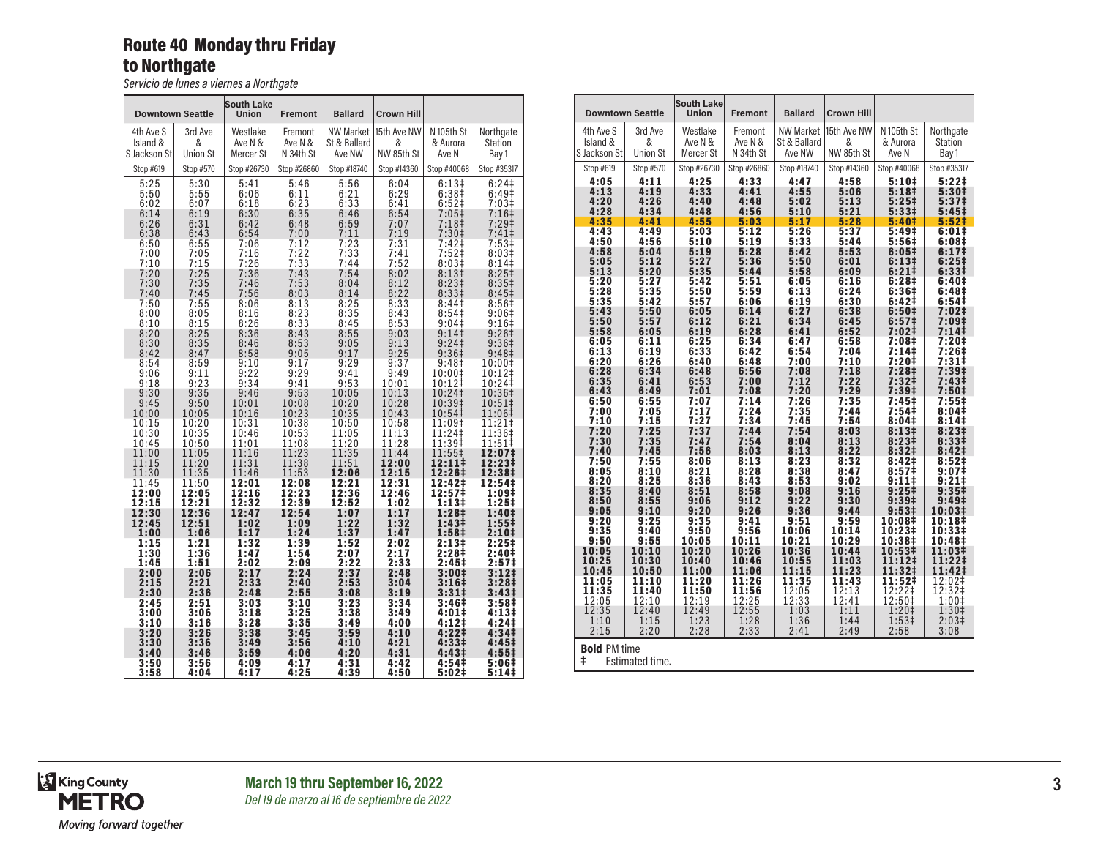## Route 40 Monday thru Friday to Northgate

*Servicio de lunes a viernes a Northgate*

|                                                                                                                                              | <b>Downtown Seattle</b>                                                                                                                                   | <b>South Lake</b><br>Union                                                                                                                                  | <b>Fremont</b>                                                                                                                                              | <b>Ballard</b>                                                                                                                               | <b>Crown Hill</b>                                                                                                                                           |                                                                                                                                                                                                                                                |                                                                                                                                                                                                                  |
|----------------------------------------------------------------------------------------------------------------------------------------------|-----------------------------------------------------------------------------------------------------------------------------------------------------------|-------------------------------------------------------------------------------------------------------------------------------------------------------------|-------------------------------------------------------------------------------------------------------------------------------------------------------------|----------------------------------------------------------------------------------------------------------------------------------------------|-------------------------------------------------------------------------------------------------------------------------------------------------------------|------------------------------------------------------------------------------------------------------------------------------------------------------------------------------------------------------------------------------------------------|------------------------------------------------------------------------------------------------------------------------------------------------------------------------------------------------------------------|
| 4th Ave S                                                                                                                                    | 3rd Ave                                                                                                                                                   | Westlake                                                                                                                                                    | Fremont                                                                                                                                                     | <b>NW Market</b>                                                                                                                             | 15th Ave NW                                                                                                                                                 | N 105th St                                                                                                                                                                                                                                     | Northgate                                                                                                                                                                                                        |
| Island &                                                                                                                                     | &                                                                                                                                                         | Ave N &                                                                                                                                                     | Ave N &                                                                                                                                                     | St & Ballard                                                                                                                                 | &                                                                                                                                                           | & Aurora                                                                                                                                                                                                                                       | Station                                                                                                                                                                                                          |
| S Jackson St                                                                                                                                 | <b>Union St</b>                                                                                                                                           | Mercer St                                                                                                                                                   | N 34th St                                                                                                                                                   | Ave NW                                                                                                                                       | NW 85th St                                                                                                                                                  | Ave N                                                                                                                                                                                                                                          | Bay 1                                                                                                                                                                                                            |
| Stop #619                                                                                                                                    |                                                                                                                                                           |                                                                                                                                                             |                                                                                                                                                             | Stop #18740                                                                                                                                  |                                                                                                                                                             | Stop #40068                                                                                                                                                                                                                                    | Stop #35317                                                                                                                                                                                                      |
| 5:25<br>5:50<br>6:02<br>6:14<br>6:26<br>6:38<br>6:50<br>7:00<br>7:10<br>7:20<br>7:30<br>7:40<br>7:50<br>8:00<br>8:10<br>8:20<br>8:30<br>8:42 | Stop #570<br>5:30<br>5:55<br>6:07<br>6:19<br>6:31<br>6:43<br>6:55<br>7:05<br>7:15<br>7:25<br>7:35<br>7:45<br>7:55<br>8:05<br>8:15<br>8:25<br>8:35<br>8:47 | Stop #26730<br>5:41<br>6:06<br>6:18<br>6:30<br>6:42<br>6:54<br>7:06<br>7:16<br>7:26<br>7:36<br>7:46<br>7:56<br>8:06<br>8:16<br>8:26<br>8:36<br>8:46<br>8:58 | Stop #26860<br>5:46<br>6:11<br>6:23<br>6:35<br>6:48<br>7:00<br>7:12<br>7:22<br>7:33<br>7:43<br>7:53<br>8:03<br>8:13<br>8:23<br>8:33<br>8:43<br>8:53<br>9:05 | 5:56<br>6:21<br>6:33<br>6:46<br>6:59<br>7:11<br>7:23<br>7:33<br>7:44<br>7:54<br>8:04<br>8:14<br>8:25<br>8:35<br>8:45<br>8:55<br>9:05<br>9:17 | Stop #14360<br>6:04<br>6:29<br>6:41<br>6:54<br>7:07<br>7:19<br>7:31<br>7:41<br>7:52<br>8:02<br>8:12<br>8:22<br>8:33<br>8:43<br>8:53<br>9:03<br>9:13<br>9:25 | 6:13#<br>6:38 <sup>‡</sup><br>6:52‡<br>$7:05$ ‡<br>7:18‡<br>7:30 <sup>‡</sup><br>7:42‡<br>$7:52$ ‡<br>8:03#<br>8:13#<br>8:23 <sup>‡</sup><br>8:331<br>8:44 <sup>‡</sup><br>8:54 <sup>‡</sup><br>$9:04\pm$<br>9:14<br>9:24<br>9:36 <sup>‡</sup> | 6:24 <sup>‡</sup><br>6:49‡<br>7:03‡<br>7:16‡<br>7:29‡<br>$7:41$ ‡<br>7:53‡<br>8:03#<br>8:14<br>8:25 <sup>‡</sup><br>8:35‡<br>8:45 <sup>‡</sup><br>8:56 <sup>‡</sup><br>9:06‡<br>9:16‡<br>9:26‡<br>9:36‡<br>9:48‡ |
| 8:54                                                                                                                                         | 8:59                                                                                                                                                      | 9:10                                                                                                                                                        | 9:17                                                                                                                                                        | 9:29                                                                                                                                         | 9:37                                                                                                                                                        | 9:48 <sup>‡</sup>                                                                                                                                                                                                                              | 10:00‡                                                                                                                                                                                                           |
| 9:06                                                                                                                                         | 9:11                                                                                                                                                      | 9:22                                                                                                                                                        | 9:29                                                                                                                                                        | 9:41                                                                                                                                         | 9:49                                                                                                                                                        | 10:00‡                                                                                                                                                                                                                                         | 10:12‡                                                                                                                                                                                                           |
| 9:18                                                                                                                                         | 9:23                                                                                                                                                      | 9:34                                                                                                                                                        | 9:41                                                                                                                                                        | 9:53                                                                                                                                         | 10:01                                                                                                                                                       | 10:12‡                                                                                                                                                                                                                                         | $10:24 \ddagger$                                                                                                                                                                                                 |
| 9:30                                                                                                                                         | 9:35                                                                                                                                                      | 9:46                                                                                                                                                        | 9:53                                                                                                                                                        | 10:05                                                                                                                                        | 10:13                                                                                                                                                       | 10:24‡                                                                                                                                                                                                                                         | 10:36‡                                                                                                                                                                                                           |
| 9:45                                                                                                                                         | 9:50                                                                                                                                                      | 10:01                                                                                                                                                       | 10:08                                                                                                                                                       | 10:20                                                                                                                                        | 10:28                                                                                                                                                       | 10:39‡                                                                                                                                                                                                                                         | 10:51‡                                                                                                                                                                                                           |
| 10:00                                                                                                                                        | 10:05                                                                                                                                                     | 10:16                                                                                                                                                       | 10:23                                                                                                                                                       | 10:35                                                                                                                                        | 10:43                                                                                                                                                       | 10:54‡                                                                                                                                                                                                                                         | 11:06‡                                                                                                                                                                                                           |
| 10:15                                                                                                                                        | 10:20                                                                                                                                                     | 10:31                                                                                                                                                       | 10:38                                                                                                                                                       | 10:50                                                                                                                                        | 10:58                                                                                                                                                       | 11:09‡                                                                                                                                                                                                                                         | 11:21‡                                                                                                                                                                                                           |
| 10:30                                                                                                                                        | 10:35                                                                                                                                                     | 10:46                                                                                                                                                       | 10:53                                                                                                                                                       | 11:05                                                                                                                                        | 11:13                                                                                                                                                       | 11:24‡                                                                                                                                                                                                                                         | 11:36‡                                                                                                                                                                                                           |
| 10:45                                                                                                                                        | 10:50                                                                                                                                                     | 11:01                                                                                                                                                       | 11:08                                                                                                                                                       | 11:20                                                                                                                                        | 11:28                                                                                                                                                       | 11:39‡                                                                                                                                                                                                                                         | 11:51‡                                                                                                                                                                                                           |
| 11:00                                                                                                                                        | 11:05                                                                                                                                                     | 11:16                                                                                                                                                       | 11:23                                                                                                                                                       | 11:35                                                                                                                                        | 11:44                                                                                                                                                       | 11:55‡                                                                                                                                                                                                                                         | 12:07‡                                                                                                                                                                                                           |
| 11:15                                                                                                                                        | 11:20                                                                                                                                                     | 11:31                                                                                                                                                       | 11:38                                                                                                                                                       | 11:51                                                                                                                                        | 12:00                                                                                                                                                       | $12:11*$                                                                                                                                                                                                                                       | 12:23‡                                                                                                                                                                                                           |
| 11:30                                                                                                                                        | 11:35                                                                                                                                                     | 11:46                                                                                                                                                       | 11:53                                                                                                                                                       | 12:06                                                                                                                                        | 12:15                                                                                                                                                       | 12:26‡                                                                                                                                                                                                                                         | 12:38‡                                                                                                                                                                                                           |
| 11:45                                                                                                                                        | 11:50                                                                                                                                                     | 12:01                                                                                                                                                       | 12:08                                                                                                                                                       | 12:21                                                                                                                                        | 12:31                                                                                                                                                       | 12:42‡                                                                                                                                                                                                                                         | 12:54‡                                                                                                                                                                                                           |
| 12:00                                                                                                                                        | 12:05                                                                                                                                                     | 12:16                                                                                                                                                       | 12:23                                                                                                                                                       | 12:36                                                                                                                                        | 12:46                                                                                                                                                       | 12:57‡                                                                                                                                                                                                                                         | 1:09‡                                                                                                                                                                                                            |
| 12:15                                                                                                                                        | 12:21                                                                                                                                                     | 12:32                                                                                                                                                       | 12:39                                                                                                                                                       | 12:52                                                                                                                                        | 1:02                                                                                                                                                        | 1:13#                                                                                                                                                                                                                                          | $1:25^{\ddagger}$                                                                                                                                                                                                |
| 12:30                                                                                                                                        | 12:36                                                                                                                                                     | 12:47                                                                                                                                                       | 12:54                                                                                                                                                       | 1:07                                                                                                                                         | 1:17                                                                                                                                                        | 1:28‡                                                                                                                                                                                                                                          | 1:40‡                                                                                                                                                                                                            |
| 12:45                                                                                                                                        | 12:51                                                                                                                                                     | 1:02                                                                                                                                                        | 1:09                                                                                                                                                        | 1:22                                                                                                                                         | 1:32                                                                                                                                                        | 1:43 <sup>‡</sup>                                                                                                                                                                                                                              | 1:55‡                                                                                                                                                                                                            |
| 1:00                                                                                                                                         | 1:06                                                                                                                                                      | 1:17                                                                                                                                                        | 1:24                                                                                                                                                        | 1:37                                                                                                                                         | 1:47                                                                                                                                                        | 1:58‡                                                                                                                                                                                                                                          | 2:10‡                                                                                                                                                                                                            |
| 1:15                                                                                                                                         | 1:21                                                                                                                                                      | 1:32                                                                                                                                                        | 1:39                                                                                                                                                        | 1:52                                                                                                                                         | 2:02                                                                                                                                                        | 2:13‡                                                                                                                                                                                                                                          | 2:25‡                                                                                                                                                                                                            |
| 1:30                                                                                                                                         | 1:36                                                                                                                                                      | 1:47                                                                                                                                                        | 1:54                                                                                                                                                        | 2:07                                                                                                                                         | 2:17                                                                                                                                                        | 2:28‡                                                                                                                                                                                                                                          | 2:40‡                                                                                                                                                                                                            |
| 1:45                                                                                                                                         | 1:51                                                                                                                                                      | 2:02                                                                                                                                                        | 2:09                                                                                                                                                        | 2:22                                                                                                                                         | 2:33                                                                                                                                                        | 2:45‡                                                                                                                                                                                                                                          | 2:57‡                                                                                                                                                                                                            |
| 2:00                                                                                                                                         | 2:06                                                                                                                                                      | 2:17                                                                                                                                                        | 2:24                                                                                                                                                        | 2:37                                                                                                                                         | 2:48                                                                                                                                                        | $3:00+$                                                                                                                                                                                                                                        | 3:12‡                                                                                                                                                                                                            |
| 2:15                                                                                                                                         | 2:21                                                                                                                                                      | 2:33                                                                                                                                                        | 2:40                                                                                                                                                        | 2:53                                                                                                                                         | 3:04                                                                                                                                                        | 3:16‡                                                                                                                                                                                                                                          | 3:28‡                                                                                                                                                                                                            |
| 2:30                                                                                                                                         | 2:36                                                                                                                                                      | 2:48                                                                                                                                                        | 2:55                                                                                                                                                        | 3:08                                                                                                                                         | 3:19                                                                                                                                                        | 3:31 <sup>‡</sup>                                                                                                                                                                                                                              | 3:43 <sup>‡</sup>                                                                                                                                                                                                |
| 2:45                                                                                                                                         | 2:51                                                                                                                                                      | 3:03                                                                                                                                                        | 3:10                                                                                                                                                        | 3:23                                                                                                                                         | 3:34                                                                                                                                                        | 3:46‡                                                                                                                                                                                                                                          | 3:58‡                                                                                                                                                                                                            |
| 3:00                                                                                                                                         | 3:06                                                                                                                                                      | 3:18                                                                                                                                                        | 3:25                                                                                                                                                        | 3:38                                                                                                                                         | 3:49                                                                                                                                                        | 4:01‡                                                                                                                                                                                                                                          | 4:13#                                                                                                                                                                                                            |
| 3:10                                                                                                                                         | 3:16                                                                                                                                                      | 3:28                                                                                                                                                        | 3:35                                                                                                                                                        | 3:49                                                                                                                                         | 4:00                                                                                                                                                        | 4:12‡                                                                                                                                                                                                                                          | 4:24‡                                                                                                                                                                                                            |
| 3:20                                                                                                                                         | 3:26                                                                                                                                                      | 3:38                                                                                                                                                        | 3:45                                                                                                                                                        | 3:59                                                                                                                                         | 4:10                                                                                                                                                        | 4:22‡                                                                                                                                                                                                                                          | 4:34‡                                                                                                                                                                                                            |
| 3:30                                                                                                                                         | 3:36                                                                                                                                                      | 3:49                                                                                                                                                        | 3:56                                                                                                                                                        | 4:10                                                                                                                                         | 4:21                                                                                                                                                        | 4:33#                                                                                                                                                                                                                                          | 4:45‡                                                                                                                                                                                                            |
| 3:40                                                                                                                                         | 3:46                                                                                                                                                      | 3:59                                                                                                                                                        | 4:06                                                                                                                                                        | 4:20                                                                                                                                         | 4:31                                                                                                                                                        | 4:43 <sup>‡</sup>                                                                                                                                                                                                                              | $4:55^{\ddagger}$                                                                                                                                                                                                |
| 3:50                                                                                                                                         | 3:56                                                                                                                                                      | 4:09                                                                                                                                                        | 4:17                                                                                                                                                        | 4:31                                                                                                                                         | 4:42                                                                                                                                                        | 4:54‡                                                                                                                                                                                                                                          | 5:06‡                                                                                                                                                                                                            |
| 3:58                                                                                                                                         | 4:04                                                                                                                                                      | 4:17                                                                                                                                                        | 4:25                                                                                                                                                        | 4:39                                                                                                                                         | 4:50                                                                                                                                                        | 5:02‡                                                                                                                                                                                                                                          | 5:14‡                                                                                                                                                                                                            |

| <b>Downtown Seattle</b> |                 | <b>South Lake</b><br>Union | <b>Fremont</b> | <b>Ballard</b>   | <b>Crown Hill</b> |                            |                                |
|-------------------------|-----------------|----------------------------|----------------|------------------|-------------------|----------------------------|--------------------------------|
| 4th Ave S               | 3rd Ave         | Westlake                   | Fremont        | <b>NW Market</b> | 15th Ave NW       | N 105th St                 | Northgate                      |
| Island &                | &               | Ave N &                    | Ave N &        | St & Ballard     | &                 | & Aurora                   | Station                        |
| S Jackson St            | <b>Union St</b> | Mercer St                  | N 34th St      | Ave NW           | NW 85th St        | Ave N                      | Bay 1                          |
| Stop #619               | Stop #570       | Stop #26730                | Stop #26860    | Stop #18740      | Stop #14360       | Stop #40068                | Stop #35317                    |
| 4:05<br>4:13            | 4:11<br>4:19    | 4:25<br>4:33               | 4:33<br>4:41   | 4:47<br>4:55     | 4:58<br>5:06      | 5:10‡<br>5:18 <sup>‡</sup> | 5:22‡<br>5:30‡                 |
| 4:20                    | 4:26            | 4:40                       | 4:48           | 5:02             | 5:13              | 5:25#                      | 5:37‡                          |
| 4:28                    | 4:34            | 4:48                       | 4:56           | 5:10             | 5:21              | 5:331                      | 5:45#                          |
| 4:35<br>4:43            | 4:41<br>4:49    | 4:55<br>5:03               | 5:03<br>5:12   | 5:17<br>5:26     | 5:28<br>5:37      | 5:40‡<br>5:49‡             | 5:52‡<br>6:01‡                 |
| 4:50                    | 4:56            | 5:10                       | 5:19           | 5:33             | 5:44              | 5:56 <sup>‡</sup>          | 6:08‡                          |
| 4:58                    | 5:04            | 5:19                       | 5:28           | 5:42             | 5:53              | 6:05#                      | 6:171                          |
| 5:05<br>5:13            | 5:12<br>5:20    | 5:27<br>5:35               | 5:36<br>5:44   | 5:50             | 6:01              | 6:13#                      | 6:25‡                          |
| 5:20                    | 5:27            | 5:42                       | 5:51           | 5:58<br>6:05     | 6:09<br>6:16      | 6:21‡<br>6:28‡             | 6:33‡<br>6:40‡                 |
| 5:28                    | 5:35            | 5:50                       | 5:59           | 6:13             | 6:24              | 6:36‡                      | 6:48‡                          |
| 5:35                    | 5:42<br>5:50    | 5:57                       | 6:06<br>6:14   | 6:19<br>6:27     | 6:30<br>6:38      | 6:42‡                      | 6:54‡                          |
| 5:43<br>5:50            | 5:57            | 6:05<br>6:12               | 6:21           | 6:34             | 6:45              | 6:50‡<br>6:57‡             | 7:02‡<br>7:09‡                 |
| 5:58                    | 6:05            | 6:19                       | 6:28           | 6:41             | 6:52              | 7:02‡                      | 7:14 <sup>‡</sup>              |
| 6:05                    | 6:11            | 6:25                       | 6:34           | 6:47             | 6:58              | 7:08‡                      | 7:20‡                          |
| 6:13<br>6:20            | 6:19<br>6:26    | 6:33<br>6:40               | 6:42<br>6:48   | 6:54<br>7:00     | 7:04<br>7:10      | 7:14#<br>7:20‡             | 7:26‡<br>7:31‡                 |
| 6:28                    | 6:34            | 6:48                       | 6:56           | 7:08             | 7:18              | 7:28‡                      | 7:39 <sup>‡</sup>              |
| 6:35                    | 6:41            | 6:53                       | 7:00           | 7:12             | 7:22              | 7:32‡                      | 7:43‡                          |
| 6:43<br>6:50            | 6:49<br>6:55    | 7:01<br>7:07               | 7:08<br>7:14   | 7:20<br>7:26     | 7:29<br>7:35      | 7:39‡<br>7:45#             | 7:50‡<br>7:55‡                 |
| 7:00                    | 7:05            | 7:17                       | 7:24           | 7:35             | 7:44              | 7:54‡                      | $8:04\pm$                      |
| 7:10                    | 7:15            | 7:27                       | 7:34           | 7:45             | 7:54              | 8:04‡                      | 8:14‡                          |
| 7:20<br>7:30            | 7:25<br>7:35    | 7:37<br>7:47               | 7:44<br>7:54   | 7:54<br>8:04     | 8:03<br>8:13      | 8:13‡<br>8:23‡             | 8:23‡<br>8:33#                 |
| 7:40                    | 7:45            | 7:56                       | 8:03           | 8:13             | 8:22              | 8:32‡                      | $8:42+$                        |
| 7:50                    | 7:55            | 8:06                       | 8:13           | 8:23             | 8:32              | 8:42‡                      | 8:52‡                          |
| 8:05<br>8:20            | 8:10<br>8:25    | 8:21<br>8:36               | 8:28<br>8:43   | 8:38<br>8:53     | 8:47<br>9:02      | 8:57‡<br>9:11‡             | 9:07 <sup>‡</sup><br>$9:21 \;$ |
| 8:35                    | 8:40            | 8:51                       | 8:58           | 9:08             | 9:16              | 9:25‡                      | 9:35 <sup>‡</sup>              |
| 8:50                    | 8:55            | 9:06                       | 9:12           | 9:22             | 9:30              | 9:39‡                      | 9:49 <sup>‡</sup>              |
| 9:05<br>9:20            | 9:10<br>9:25    | 9:20<br>9:35               | 9:26<br>9:41   | 9:36<br>9:51     | 9:44<br>9:59      | 9:53‡<br>10:08‡            | 10:03‡<br>10:18‡               |
| 9:35                    | 9:40            | 9:50                       | 9:56           | 10:06            | 10:14             | 10:23‡                     | 10:33‡                         |
| 9:50                    | 9:55            | 10:05                      | 10:11          | 10:21            | 10:29             | 10:38‡                     | 10:48‡                         |
| 10:05<br>10:25          | 10:10<br>10:30  | 10:20<br>10:40             | 10:26          | 10:36<br>10:55   | 10:44<br>11:03    | 10:53‡<br>11:12‡           | 11:03‡<br>11:22‡               |
| 10:45                   | 10:50           | 11:00                      | 10:46<br>11:06 | 11:15            | 11:23             | 11:32‡                     | 11:42‡                         |
| 11:05                   | 11:10           | 11:20                      | 11:26          | 11:35            | 11:43             | 11:52‡                     | 12:02‡                         |
| 11:35<br>12:05          | 11:40<br>12:10  | 11:50<br>12:19             | 11:56<br>12:25 | 12:05<br>12:33   | 12:13<br>12:41    | 12:22‡<br>12:50‡           | 12:32‡                         |
| 12:35                   | 12:40           | 12:49                      | 12:55          | 1:03             | 1:11              | 1:20‡                      | 1:001<br>1:30‡                 |
| 1:10                    | 1:15            | 1:23                       | 1:28           | 1:36             | 1:44              | 1:53‡                      | 2:03 <sup>‡</sup>              |
| 2:15                    | 2:20            | 2:28                       | 2:33           | 2:41             | 2:49              | 2:58                       | 3:08                           |
| <b>Bold PM time</b>     |                 |                            |                |                  |                   |                            |                                |
| ŧ                       | Estimated time. |                            |                |                  |                   |                            |                                |

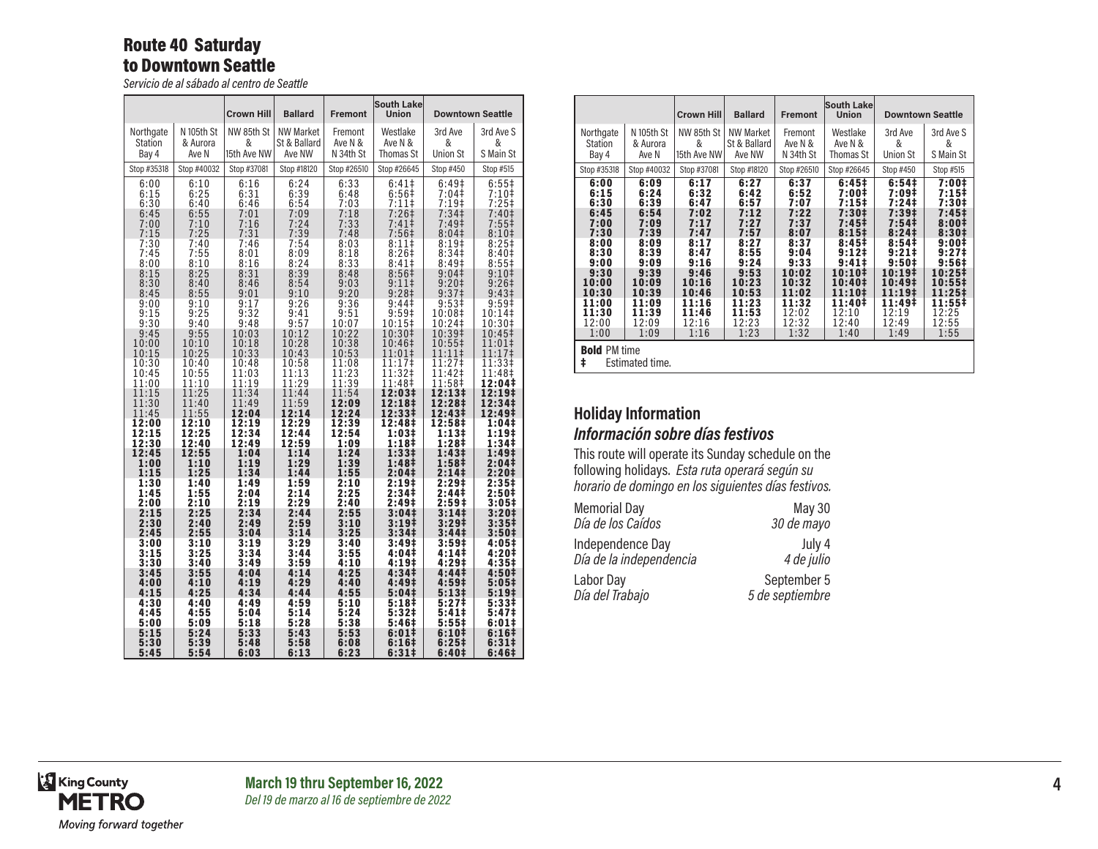### Route 40 Saturday to Downtown Seattle

*Servicio de al sábado al centro de Seattle*

|                         |                | <b>Crown Hill</b> | <b>Ballard</b>          | <b>Fremont</b> | <b>South Lake</b><br>Union | <b>Downtown Seattle</b> |                   |
|-------------------------|----------------|-------------------|-------------------------|----------------|----------------------------|-------------------------|-------------------|
| Northgate               | N 105th St     | NW 85th St        | <b>NW Market</b>        | Fremont        | Westlake                   | 3rd Ave                 | 3rd Ave S         |
| <b>Station</b>          | & Aurora       | &                 | St & Ballard            | Ave N &        | Ave N &                    | &                       | &                 |
| Bay 4                   | Ave N          | 15th Ave NW       | Ave NW                  | N 34th St      | Thomas St                  | <b>Union St</b>         | S Main St         |
| Stop #35318             | Stop #40032    | Stop #37081       | Stop #18120             | Stop #26510    | Stop #26645                | Stop #450               | Stop #515         |
| 6:00                    | 6:10           | 6:16              | 6:24                    | 6:33           | $6:41\dagger$              | 6:49 <sup>‡</sup>       | $6:55\ddagger$    |
| 6:15                    | 6:25           | 6:31              | 6:39                    | 6:48           | 6:56#                      | 7:04‡                   | 7:10‡             |
| 6:30                    | 6:40           | 6:46              | 6:54                    | 7:03           | $7:11$ ‡                   | $7:19+$                 | $7:25+$           |
| 6:45                    | 6:55           | 7:01              | 7:09                    | 7:18           | 7:26 <sup>‡</sup>          | 7:34 <sup>‡</sup>       | 7:40 <sup>‡</sup> |
| 7:00                    | 7:10           | 7:16              | 7:24                    | 7:33           | 7:41 <sup>‡</sup>          | 7:49‡                   | 7:55‡             |
| 7:15                    | 7:25           | 7:31              | 7:39                    | 7:48           | 7:56‡                      | 8:04 <sup>‡</sup>       | 8:10 <sup>‡</sup> |
| 7:30                    | 7:40           | 7:46              | 7:54                    | 8:03           | 8:11                       | $8:19+$                 | $8:25+$           |
| 7:45                    | 7:55           | 8:01              | 8:09                    | 8:18           | 8:26#                      | 8:34 <sup>‡</sup>       | 8:40 <sup>‡</sup> |
| 8:00                    | 8:10           | 8:16              | 8:24                    | 8:33           | 8:41                       | 8:49 <sup>‡</sup>       | $8:55\ddagger$    |
| 8:15                    | 8:25           | 8:31              | 8:39                    | 8:48           | 8:56 <sup>‡</sup>          | 9:04 <sup>‡</sup>       | 9:10 <sup>‡</sup> |
| 8:30                    | 8:40           | 8:46              | 8:54                    | 9:03           | 9:11‡                      | 9:20 <sup>‡</sup>       | $9:26+$           |
| 8:45                    | 8:55           | 9:01              | 9:10                    | 9:20           | 9:28 <sup>‡</sup>          | 9:37 <sup>‡</sup>       | 9:43 <sup>‡</sup> |
| 9:00                    | 9:10           | 9:17              | 9:26                    | 9:36           | 9:44‡                      | 9:53 <sup>‡</sup>       | $9:59^+$          |
| 9:15                    | 9:25           | 9:32              | 9:41                    | 9:51           | 9:59‡                      | 10:08‡                  | 10:14             |
| 9:30                    | 9:40           | 9:48              | 9:57                    | 10:07          | 10:15‡                     | 10:24‡                  | 10:30‡            |
| 9:45                    | 9:55           | 10:03             | 10:12                   | 10:22          | 10:30‡                     | 10:39‡                  | 10:45‡            |
| 10:00                   | 10:10          | 10:18             | 10:28                   | 10:38          | 10:46‡                     | 10:55‡                  | 11:01‡            |
| 10:15                   | 10:25          | 10:33             | 10:43                   | 10:53          | 11:01‡                     | 11:11‡                  | 11:17‡            |
| 10:30                   | 10:40          | 10:48             | 10:58                   | 11:08          | 11:17‡                     | 11:27‡                  | 11:33‡            |
| 10:45                   | 10:55          | 11:03             | 11:13                   | 11:23          | 11:32‡                     | 11:42‡                  | 11:48‡            |
| 11:00                   | 11:10          | 11:19             | 11:29                   | 11:39          | 11:48‡                     | 11:58‡                  | 12:04‡            |
| 11:15                   | 11:25          | 11:34             | 11:44                   | 11:54          | 12:03‡                     | 12:13‡                  | 12:19‡            |
| 11:30                   | 11:40          | 11:49             | 11:59                   | 12:09          | 12:18‡                     | 12:28‡                  | 12:34‡            |
| 11:45                   | 11:55<br>12:10 | 12:04<br>12:19    | 12:14                   | 12:24<br>12:39 | 12:33‡                     | 12:43‡<br>12:58‡        | 12:49‡<br>1:04‡   |
| 12:00<br>12:15<br>12:30 | 12:25<br>12:40 | 12:34<br>12:49    | 12:29<br>12:44<br>12:59 | 12:54<br>1:09  | 12:48‡<br>1:03‡<br>1:18‡   | 1:13‡<br>1:28‡          | 1:19‡<br>1:34‡    |
| 12:45                   | 12:55          | 1:04              | 1:14                    | 1:24           | 1:33‡                      | 1:43 <sup>‡</sup>       | 1:49‡             |
| 1:00                    | 1:10           | 1:19              | 1:29                    | 1:39           | 1:48‡                      | 1:58 <sup>‡</sup>       | 2:04‡             |
| 1:15                    | 1:25           | 1:34              | 1:44                    | 1:55           | 2:04‡                      | 2:14 <sup>‡</sup>       | 2:20‡             |
| 1:30                    | 1:40           | 1:49              | 1:59                    | 2:10           | 2:19‡                      | 2:29 <sup>‡</sup>       | 2:35‡             |
| 1:45                    | 1:55           | 2:04              | 2:14                    | 2:25           | 2:34 <sup>‡</sup>          | 2:44‡                   | 2:50‡             |
| 2:00                    | 2:10           | 2:19              | 2:29                    | 2:40           | 2:49‡                      | 2:59‡                   | 3:05‡             |
| 2:15                    | 2:25           | 2:34              | 2:44                    | 2:55           | 3:04 <sup>‡</sup>          | 3:14 <sup>‡</sup>       | $3:20\ddagger$    |
| 2:30                    | 2:40           | 2:49              | 2:59                    | 3:10           | 3:19 <sup>‡</sup>          | 3:29 <sup>‡</sup>       | 3:35 <sup>‡</sup> |
| 2:45                    | 2:55           | 3:04              | 3:14                    | 3:25           | 3:34 <sup>‡</sup>          | 3:44 <sup>‡</sup>       | 3:50‡             |
| 3:00                    | 3:10           | 3:19              | 3:29                    | 3:40           | 3:49‡                      | 3:59‡                   | 4:05‡             |
| 3:15                    | 3:25           | 3:34              | 3:44                    | 3:55           | 4:04‡                      | 4:14‡                   | 4:20‡             |
| 3:30                    | 3:40           | 3:49              | 3:59                    | 4:10           | 4:19‡                      | 4:29‡                   | 4:35‡             |
| 3:45                    | 3:55           | 4:04              | 4:14                    | 4:25           | 4:34 <sup>‡</sup>          | 4:44‡                   | 4:50‡             |
| 4:00                    | 4:10           | 4:19              | 4:29                    | 4:40           | 4:49‡                      | 4:59‡                   | 5:05‡             |
| 4:15                    | 4:25           | 4:34              | 4:44                    | 4:55           | 5:04‡                      | 5:13‡                   | 5:19‡             |
| 4:30                    | 4:40           | 4:49              | 4:59                    | 5:10           | 5:18‡                      | 5:27‡                   | 5:33‡             |
| 4:45                    | 4:55           | 5:04              | 5:14                    | 5:24           | 5:32‡                      | 5:41‡                   | 5:47‡             |
| 5:00                    | 5:09           | 5:18              | 5:28                    | 5:38           | 5:46‡                      | 5:55‡                   | 6:01‡             |
| 5:15                    | 5:24           | 5:33              | 5:43                    | 5:53           | 6:01‡                      | 6:10‡                   | 6:16‡             |
| 5:30                    | 5:39           | 5:48              | 5:58                    | 6:08           | 6:16‡                      | 6:25‡                   | 6:31‡             |
| 5:45                    | 5:54           | 6:03              | 6:13                    | 6:23           | 6:31#                      | 6:40‡                   | 6:46‡             |

|                                                                                                                                   | <b>Crown Hill</b>                                                                                                                 |                                                                                                                                   | <b>Ballard</b>                                                                                                                    | <b>Fremont</b>                                                                                                                     | South Lake<br><b>Union</b>                                                                                                                                                |                                                                                                                                                                                                                 | <b>Downtown Seattle</b>                                                                                                                                                   |
|-----------------------------------------------------------------------------------------------------------------------------------|-----------------------------------------------------------------------------------------------------------------------------------|-----------------------------------------------------------------------------------------------------------------------------------|-----------------------------------------------------------------------------------------------------------------------------------|------------------------------------------------------------------------------------------------------------------------------------|---------------------------------------------------------------------------------------------------------------------------------------------------------------------------|-----------------------------------------------------------------------------------------------------------------------------------------------------------------------------------------------------------------|---------------------------------------------------------------------------------------------------------------------------------------------------------------------------|
| Northgate<br>Station<br>Bay 4                                                                                                     | N 105th St<br>& Aurora<br>Ave N                                                                                                   | NW 85th St<br>&<br>15th Ave NW                                                                                                    | <b>NW Market</b><br>St & Ballard<br>Ave NW                                                                                        | Fremont<br>Ave N &<br>N 34th St                                                                                                    | Westlake<br>Ave N &<br>Thomas St                                                                                                                                          | 3rd Ave<br>&<br>Union St                                                                                                                                                                                        | 3rd Ave S<br>&<br>S Main St                                                                                                                                               |
| Stop #35318                                                                                                                       | Stop #40032                                                                                                                       | Stop #37081                                                                                                                       | Stop #18120                                                                                                                       | Stop #26510                                                                                                                        | Stop #26645                                                                                                                                                               | Stop #450                                                                                                                                                                                                       | Stop #515                                                                                                                                                                 |
| 6:00<br>6:15<br>6:30<br>6:45<br>7:00<br>7:30<br>8:00<br>8:30<br>9:00<br>9:30<br>10:00<br>10:30<br>11:00<br>11:30<br>12:00<br>1:00 | 6:09<br>6:24<br>6:39<br>6:54<br>7:09<br>7:39<br>8:09<br>8:39<br>9:09<br>9:39<br>10:09<br>10:39<br>11:09<br>11:39<br>12:09<br>1:09 | 6:17<br>6:32<br>6:47<br>7:02<br>7:17<br>7:47<br>8:17<br>8:47<br>9:16<br>9:46<br>10:16<br>10:46<br>11:16<br>11:46<br>12:16<br>1:16 | 6:27<br>6:42<br>6:57<br>7:12<br>7:27<br>7:57<br>8:27<br>8:55<br>9:24<br>9:53<br>10:23<br>10:53<br>11:23<br>11:53<br>12:23<br>1:23 | 6:37<br>6:52<br>7:07<br>7:22<br>7:37<br>8:07<br>8:37<br>9:04<br>9:33<br>10:02<br>10:32<br>11:02<br>11:32<br>12:02<br>12:32<br>1:32 | 6:45#<br>7:00‡<br>7:15#<br>7:30‡<br>7:45 <sup>‡</sup><br>8:15#<br>8:45#<br>$9:12 \ddagger$<br>$9:41 \;$<br>10:10‡<br>10:40‡<br>11:10‡<br>11:40‡<br>12:10<br>12:40<br>1:40 | 6:54#<br>7:09‡<br>7:24‡<br>7:39 <sup>‡</sup><br>7:54 <sup>‡</sup><br>8:24 <sup>‡</sup><br>8:54 <sup>‡</sup><br>$9:21 \;$<br>9:50 <sup>‡</sup><br>10:19‡<br>10:49‡<br>11:19‡<br>11:49‡<br>12:19<br>12:49<br>1:49 | 7:00‡<br>$7:15+$<br>7:30‡<br>7:45‡<br>8:001<br>8:30#<br>9:001<br>9:27 <sup>‡</sup><br>9:56 <sup>‡</sup><br>10:25‡<br>10:55‡<br>11:25‡<br>11:55‡<br>12:25<br>12:55<br>1:55 |
| <b>Bold PM time</b><br>ŧ                                                                                                          | Estimated time.                                                                                                                   |                                                                                                                                   |                                                                                                                                   |                                                                                                                                    |                                                                                                                                                                           |                                                                                                                                                                                                                 |                                                                                                                                                                           |

# **Holiday Information** *Información sobre días festivos*

This route will operate its Sunday schedule on the following holidays. *Esta ruta operará según su horario de domingo en los siguientes días festivos.*

| <b>Memorial Day</b>     | May 30          |
|-------------------------|-----------------|
| Día de los Caídos       | 30 de mayo      |
| Independence Day        | July 4          |
| Día de la independencia | 4 de julio      |
| Labor Day               | September 5     |
| Día del Trabajo         | 5 de septiembre |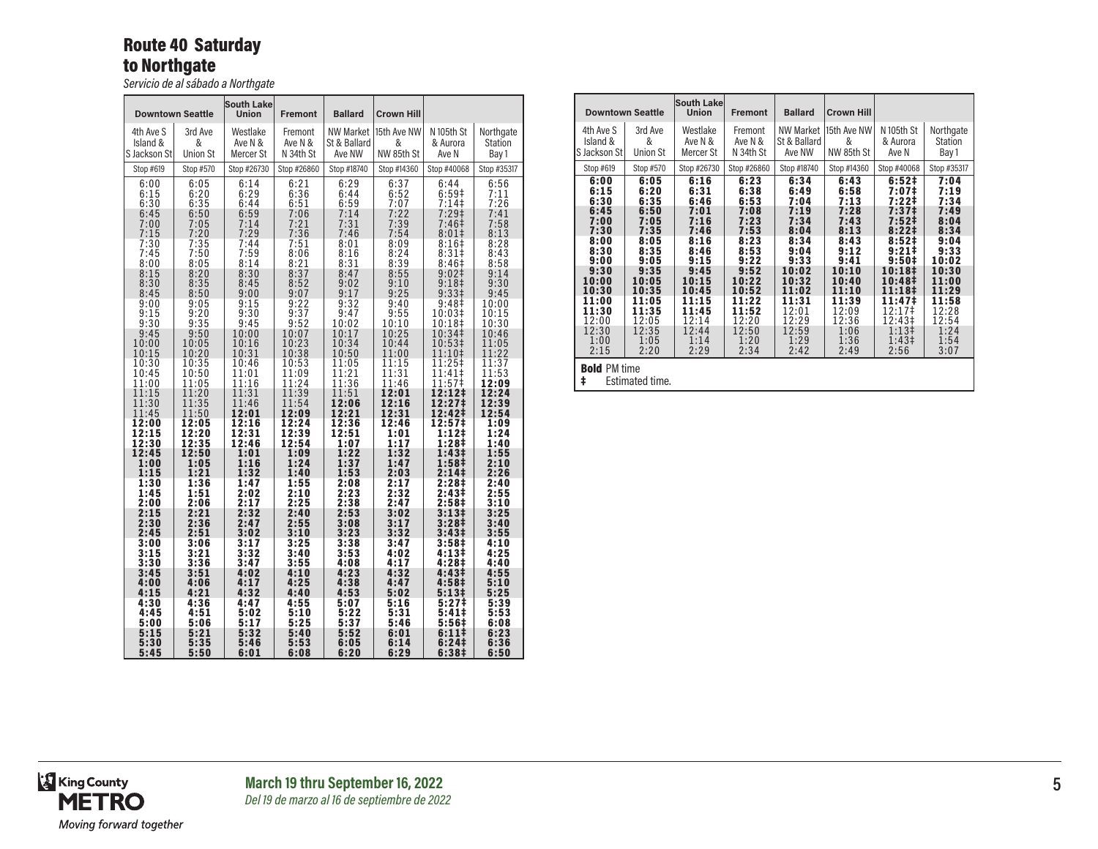# Route 40 Saturday to Northgate

*Servicio de al sábado a Northgate*

|                         | <b>Downtown Seattle</b> | <b>South Lake</b><br>Union | <b>Fremont</b>          | <b>Ballard</b>          | <b>Crown Hill</b>              |                              |                         |
|-------------------------|-------------------------|----------------------------|-------------------------|-------------------------|--------------------------------|------------------------------|-------------------------|
| 4th Ave S               | 3rd Ave                 | Westlake                   | Fremont                 | <b>NW Market</b>        | 15th Ave NW                    | N 105th St                   | Northgate               |
| Island &                | &                       | Ave N &                    | Ave N &                 | St & Ballard            | &                              | & Aurora                     | <b>Station</b>          |
| S Jackson St            | <b>Union St</b>         | Mercer St                  | N 34th St               | Ave NW                  | NW 85th St                     | Ave N                        | Bay 1                   |
| Stop #619               | Stop #570               | Stop #26730                | Stop #26860             | Stop #18740             | Stop #14360                    | Stop #40068                  | Stop #35317             |
| 6:00                    | 6:05                    | 6:14                       | 6:21                    | 6:29                    | 6:37                           | 6:44                         | 6:56                    |
| 6:15                    | 6:20                    | 6:29                       | 6:36                    | 6:44                    | 6:52                           | 6:59#                        | 7:11                    |
| 6:30                    | 6:35                    | 6:44                       | 6:51                    | 6:59                    | 7:07                           | 7:14                         | 7:26                    |
| 6:45                    | 6:50                    | 6:59                       | 7:06                    | 7:14                    | 7:22                           | 7:29 <sup>‡</sup>            | 7:41                    |
| 7:00<br>7:15<br>7:30    | 7:05<br>7:20<br>7:35    | 7:14<br>7:29<br>7:44       | 7:21<br>7:36<br>7:51    | 7:31<br>7:46<br>8:01    | $7:39$<br>$7:54$<br>8:09       | 7:46‡<br>8:01<br>8:16#       | 7:58<br>8:13<br>8:28    |
| 7:45                    | 7:50                    | 7:59                       | 8:06                    | 8:16                    | 8:24                           | 8:31‡                        | 8:43                    |
| 8:00                    | 8:05                    | 8:14                       | 8:21                    | 8:31                    | 8:39                           | 8:46 <sup>‡</sup>            | 8:58                    |
| 8:15                    | 8:20                    | 8:30                       | 8:37                    | 8:47                    | 8:55                           | $9:02 \ddagger$              | 9:14                    |
| 8:30                    | 8:35                    | 8:45                       | 8:52                    | 9:02                    | 9:10                           | 9:18 <sup>‡</sup>            | 9:30                    |
| 8:45                    | 8:50                    | 9:00                       | 9:07                    | 9:17                    | 9:25                           | 9:331                        | 9:45                    |
| 9:00                    | 9:05                    | 9:15                       | 9:22                    | 9:32                    | 9:40                           | 9:48 <sup>‡</sup>            | 10:00                   |
| 9:15                    | 9:20                    | 9:30                       | 9:37                    | 9:47                    | 9:55                           | 10:03‡                       | 10:15                   |
| 9:30                    | 9:35                    | 9:45                       | 9:52                    | 10:02                   | 10:10                          | 10:18‡                       | 10:30                   |
| 9:45                    | 9:50                    | 10:00                      | 10:07                   | 10:17                   | 10:25                          | 10:34‡                       | 10:46                   |
| 10:00                   | 10:05                   | 10:16                      | 10:23                   | 10:34                   | 10:44                          | 10:53‡                       | 11:05                   |
| 10:15<br>10:30<br>10:45 | 10:20<br>10:35<br>10:50 | 10:31<br>10:46<br>11:01    | 10:38<br>10:53<br>11:09 | 10:50<br>11:05<br>11:21 | 11:00<br>$\frac{11:15}{11:31}$ | $11:10+$<br>11:25‡<br>11:41‡ | 11:22<br>11:37<br>11:53 |
| 11:00                   | 11:05                   | 11:16                      | 11:24                   | 11:36                   | 11:46                          | 11:57‡                       | 12:09                   |
| 11:15                   | 11:20                   | 11:31                      | 11:39                   | 11:51                   | 12:01                          | 12:12‡                       | 12:24                   |
| 11:30                   | 11:35                   | 11:46                      | 11:54                   | 12:06                   | 12:16                          | 12:27‡                       | 12:39                   |
| 11:45                   | 11:50                   | 12:01                      | 12:09                   | 12:21                   | 12:31                          | 12:42‡                       | 12:54                   |
| 12:00                   | 12:05                   | 12:16                      | 12:24                   | 12:36                   | 12:46                          | 12:57‡                       | 1:09                    |
| 12:15                   | 12:20                   | 12:31                      | 12:39                   | 12:51                   | 1:01                           | 1:12‡                        | 1:24                    |
| 12:30                   | 12:35                   | 12:46                      | 12:54                   | 1:07                    | 1:17                           | 1:28‡                        | 1:40                    |
| 12:45                   | 12:50                   | 1:01                       | 1:09                    | 1:22                    | 1:32                           | 1:43 <sup>‡</sup>            | 1:55                    |
| 1:00                    | 1:05                    | 1:16                       | 1:24                    | 1:37                    | 1:47                           | 1:58‡                        | 2:10                    |
| 1:15                    | 1:21                    | 1:32                       | 1:40                    | 1:53                    | 2:03                           | 2:14 <sup>‡</sup>            | 2:26                    |
| 1:30                    | 1:36                    | 1:47                       | 1:55                    | 2:08                    | 2:17                           | 2:28‡                        | 2:40                    |
| 1:45                    | 1:51                    | 2:02                       | 2:10                    | 2:23                    | 2:32                           | 2:43‡                        | 2:55                    |
| 2:00                    | 2:06                    | 2:17                       | 2:25                    | 2:38                    | 2:47                           | 2:58‡                        | 3:10                    |
| 2:15                    | 2:21                    | 2:32                       | 2:40                    | 2:53                    | 3:02                           | 3:13‡                        | 3:25                    |
| 2:30                    | 2:36                    | 2:47                       | 2:55                    | 3:08                    | 3:17                           | 3:28 <sup>‡</sup>            | 3:40                    |
| 2:45                    | 2:51                    | 3:02                       | 3:10                    | 3:23                    | 3:32                           | 3:43‡                        | 3:55                    |
| 3:00                    | 3:06                    | 3:17                       | 3:25                    | 3:38                    | 3:47                           | 3:58‡                        | 4:10                    |
| 3:15                    | 3:21                    | 3:32                       | 3:40                    | 3:53                    | 4:02                           | 4:13‡                        | 4:25                    |
| 3:30                    | 3:36                    | 3:47                       | 3:55                    | 4:08                    | 4:17                           | 4:28‡                        | 4:40                    |
| 3:45                    | 3:51                    | 4:02                       | 4:10                    | 4:23                    | 4:32                           | 4:43‡                        | 4:55                    |
| 4:00                    | 4:06                    | 4:17                       | 4:25                    | 4:38                    | 4:47                           | 4:58‡                        | 5:10                    |
| 4:15                    | 4:21                    | 4:32                       | 4:40                    | 4:53                    | 5:02                           | 5:13‡                        | 5:25                    |
| 4:30                    | 4:36                    | 4:47                       | 4:55                    | 5:07                    | 5:16                           | 5:27‡                        | 5:39                    |
| 4:45                    | 4:51                    | 5:02                       | 5:10                    | 5:22                    | 5:31                           | 5:41‡                        | 5:53                    |
| 5:00                    | 5:06                    | 5:17                       | 5:25                    | 5:37                    | 5:46                           | 5:56‡                        | 6:08                    |
| 5:15                    | 5:21                    | 5:32                       | 5:40                    | 5:52                    | 6:01                           | 6:111                        | 6:23                    |
| 5:30                    | 5:35                    | 5:46                       | 5:53                    | 6:05                    | 6:14                           | 6:24 <sup>‡</sup>            | 6:36                    |
| 5:45                    | 5:50                    | 6:01                       | 6:08                    | 6:20                    | 6:29                           | 6:38‡                        | 6:50                    |

| <b>Downtown Seattle</b>                                                                                                                            |                                                                                                                                                    | South Lake<br><b>Union</b>                                                                                                                         | <b>Fremont</b>                                                                                                                                     | <b>Ballard</b>                                                                                                                                      | <b>Crown Hill</b>                                                                                                                                  |                                                                                                                                                                                                                                         |                                                                                                                                                     |
|----------------------------------------------------------------------------------------------------------------------------------------------------|----------------------------------------------------------------------------------------------------------------------------------------------------|----------------------------------------------------------------------------------------------------------------------------------------------------|----------------------------------------------------------------------------------------------------------------------------------------------------|-----------------------------------------------------------------------------------------------------------------------------------------------------|----------------------------------------------------------------------------------------------------------------------------------------------------|-----------------------------------------------------------------------------------------------------------------------------------------------------------------------------------------------------------------------------------------|-----------------------------------------------------------------------------------------------------------------------------------------------------|
| 4th Ave S<br>Island &<br>S Jackson Stl                                                                                                             | 3rd Ave<br>&<br>Union St                                                                                                                           | Westlake<br>Ave N &<br>Mercer St                                                                                                                   | Fremont<br>Ave N &<br>N 34th St                                                                                                                    | <b>NW Market</b><br>St & Ballard<br>Ave NW                                                                                                          | 15th Ave NW<br>&<br>NW 85th St                                                                                                                     | N 105th St<br>& Aurora<br>Ave N                                                                                                                                                                                                         | Northgate<br><b>Station</b><br>Bay 1                                                                                                                |
| Stop #619                                                                                                                                          | Stop #570                                                                                                                                          | Stop #26730                                                                                                                                        | Stop #26860                                                                                                                                        | Stop #18740                                                                                                                                         | Stop #14360                                                                                                                                        | Stop #40068                                                                                                                                                                                                                             | Stop #35317                                                                                                                                         |
| 6:00<br>6:15<br>6:30<br>6:45<br>7:00<br>7:30<br>8:00<br>8:30<br>9:00<br>9:30<br>10:00<br>10:30<br>11:00<br>11:30<br>12:00<br>12:30<br>1:00<br>2:15 | 6:05<br>6:20<br>6:35<br>6:50<br>7:05<br>7:35<br>8:05<br>8:35<br>9:05<br>9:35<br>10:05<br>10:35<br>11:05<br>11:35<br>12:05<br>12:35<br>1:05<br>2:20 | 6:16<br>6:31<br>6:46<br>7:01<br>7:16<br>7:46<br>8:16<br>8:46<br>9:15<br>9:45<br>10:15<br>10:45<br>11:15<br>11:45<br>12:14<br>12:44<br>1:14<br>2:29 | 6:23<br>6:38<br>6:53<br>7:08<br>7:23<br>7:53<br>8:23<br>8:53<br>9:22<br>9:52<br>10:22<br>10:52<br>11:22<br>11:52<br>12:20<br>12:50<br>1:20<br>2:34 | 6:34<br>6:49<br>7:04<br>7:19<br>7:34<br>8:04<br>8:34<br>9:04<br>9:33<br>10:02<br>10:32<br>11:02<br>11:31<br>12:01<br>12:29<br>12:59<br>1:29<br>2:42 | 6:43<br>6:58<br>7:13<br>7:28<br>7:43<br>8:13<br>8:43<br>9:12<br>9:41<br>10:10<br>10:40<br>11:10<br>11:39<br>12:09<br>12:36<br>1:06<br>1:36<br>2:49 | 6:52#<br>7:07‡<br>7:22‡<br>7:37 <sup>‡</sup><br>7:52 <sup>‡</sup><br>8:22 <sup>‡</sup><br>8:52‡<br>$9:21 \;$<br>9:50 <sup>‡</sup><br>10:18‡<br>10:48‡<br>11:18 <sup>‡</sup><br>11:47‡<br>12:17‡<br>12:43‡<br>$1:13+$<br>$1:43+$<br>2:56 | 7:04<br>7:19<br>7:34<br>7:49<br>8:04<br>8:34<br>9:04<br>9:33<br>10:02<br>10:30<br>11:00<br>11:29<br>11:58<br>12:28<br>12:54<br>1:24<br>1:54<br>3:07 |
| <b>Bold PM time</b><br>ŧ                                                                                                                           | Estimated time.                                                                                                                                    |                                                                                                                                                    |                                                                                                                                                    |                                                                                                                                                     |                                                                                                                                                    |                                                                                                                                                                                                                                         |                                                                                                                                                     |

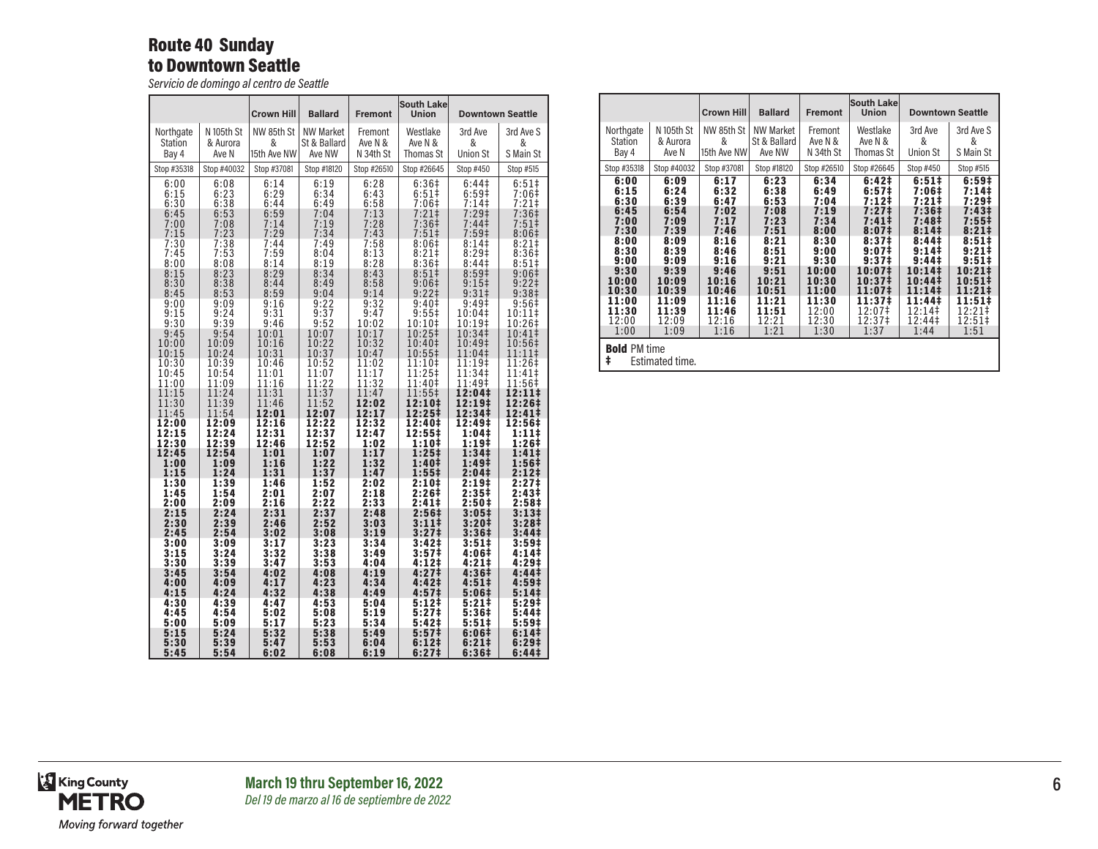## Route 40 Sunday to Downtown Seattle

*Servicio de domingo al centro de Seattle*

|                      |                      | <b>Crown Hill</b>    | <b>Ballard</b>       | <b>Fremont</b>       | <b>South Lake</b><br>Union            |                                       | <b>Downtown Seattle</b>               |
|----------------------|----------------------|----------------------|----------------------|----------------------|---------------------------------------|---------------------------------------|---------------------------------------|
| Northgate            | N 105th St           | NW 85th St           | <b>NW Market</b>     | Fremont              | Westlake                              | 3rd Ave                               | 3rd Ave S                             |
| Station              | & Aurora             | &                    | St & Ballard         | Ave N &              | Ave N &                               | &                                     | &                                     |
| Bay 4                | Ave N                | 15th Ave NW          | Ave NW               | N 34th St            | Thomas St                             | <b>Union St</b>                       | S Main St                             |
| Stop #35318          | Stop #40032          | Stop #37081          | Stop #18120          | Stop #26510          | Stop #26645                           | Stop #450                             | Stop #515                             |
| 6:00                 | 6:08                 | 6:14                 | 6:19                 | 6:28                 | 6:36#                                 | 6:44 <sup>‡</sup>                     | $6:51\pm$                             |
| 6:15                 | 6:23                 | 6:29                 | 6:34                 | 6:43                 | $6:51\dagger$                         | 6:59 <sup>‡</sup>                     | 7:06‡                                 |
| 6:30                 | 6:38                 | 6:44                 | 6:49                 | 6:58                 | 7:06#                                 | 7:14                                  | $7:21$ <sup>±</sup>                   |
| 6:45<br>7:00<br>7:15 | 6:53<br>7:08<br>7:23 | 6:59<br>7:14<br>7:29 | 7:04<br>7:19<br>7:34 | 7:13<br>7:28<br>7:43 | 7:21 <sup>‡</sup><br>$7:36‡$<br>7:51‡ | $7:29+$<br>7:44‡<br>7:59 <sup>‡</sup> | 7:36 <sup>‡</sup><br>$7:51\$<br>8:06# |
| 7:30                 | 7:38                 | 7:44                 | 7:49                 | 7:58                 | 8:06#                                 | $8:14$ ‡                              | $8:21$ ‡                              |
| 7:45                 | 7:53                 | 7:59                 | 8:04                 | 8:13                 | 8:21#                                 | 8:29‡                                 | 8:36‡                                 |
| 8:00                 | 8:08                 | 8:14                 | 8:19                 | 8:28                 | $8:36+$                               | 8:441                                 | $8:51\ddagger$                        |
| 8:15                 | 8:23                 | 8:29                 | 8:34                 | 8:43                 | $8:51\ddagger$                        | 8:59 <sup>‡</sup>                     | $9:06\pm$                             |
| 8:30                 | 8:38                 | 8:44                 | 8:49                 | 8:58                 | 9:06 <sup>‡</sup>                     | 9:15‡                                 | $9:22 \ddagger$                       |
| 8:45                 | 8:53                 | 8:59                 | 9:04                 | 9:14                 | 9:221                                 | $9:31 \pm$                            | 9:38 <sup>‡</sup>                     |
| 9:00                 | 9:09                 | 9:16                 | 9:22                 | 9:32                 | 9:40 <sup>‡</sup>                     | 9:49 <sup>‡</sup>                     | 9:56 <sup>‡</sup>                     |
| 9:15                 | 9:24                 | 9:31                 | 9:37                 | 9:47                 | $9:55$ ‡                              | 10:04‡                                | 10:11‡                                |
| 9:30                 | 9:39                 | 9:46                 | 9:52                 | 10:02                | 10:10‡                                | 10:19‡                                | 10:26‡                                |
| 9:45                 | 9:54                 | 10:01                | 10:07                | 10:17                | 10:25‡                                | 10:34‡                                | 10:41‡                                |
| 10:00                | 10:09                | 10:16                | 10:22                | 10:32                | 10:40‡                                | 10:49‡                                | 10:56‡                                |
| 10:15                | 10:24                | 10:31                | 10:37                | 10:47                | 10:55‡                                | 11:04‡                                | 11:11‡                                |
| 10:30                | 10:39                | 10:46                | 10:52                | 11:02                | 11:10‡                                | 11:19‡                                | 11:26‡                                |
| 10:45                | 10:54                | 11:01                | 11:07                | 11:17                | 11:25‡                                | 11:34‡                                | 11:41‡                                |
| 11:00                | 11:09                | 11:16                | 11:22                | 11:32                | 11:40‡                                | 11:49‡                                | 11:56‡                                |
| 11:15                | 11:24                | 11:31                | 11:37                | 11:47                | 11:55‡                                | 12:04‡                                | 12:11‡                                |
| 11:30                | 11:39                | 11:46                | 11:52                | 12:02                | 12:10‡                                | $12:19^{\ddagger}$                    | 12:26‡                                |
| 11:45                | 11:54                | 12:01                | 12:07                | 12:17                | 12:25‡                                | 12:34‡                                | $12:41 \;$                            |
| 12:00                | 12:09                | 12:16                | 12:22                | 12:32                | 12:40‡                                | 12:49‡                                | 12:56‡                                |
| 12:15                | 12:24                | 12:31                | 12:37                | 12:47                | 12:55‡                                | 1:04‡                                 | 1:11‡                                 |
| 12:30                | 12:39                | 12:46                | 12:52                | 1:02                 | 1:10‡                                 | 1:19‡                                 | 1:26‡                                 |
| 12:45                | 12:54                | 1:01                 | 1:07                 | 1:17                 | 1:25 <sup>‡</sup>                     | 1:34 <sup>‡</sup>                     | $1:41\ddagger$                        |
| 1:00                 | 1:09                 | 1:16                 | 1:22                 | 1:32                 | 1:40‡                                 | 1:49‡                                 | 1:56 <sup>‡</sup>                     |
| 1:15                 | 1:24                 | 1:31                 | 1:37                 | 1:47                 | $1:55^{\ddagger}$                     | 2:04‡                                 | 2:12 <sup>‡</sup>                     |
| 1:30                 | 1:39                 | 1:46                 | 1:52                 | 2:02                 | 2:10‡                                 | 2:19‡                                 | 2:27‡                                 |
| 1:45                 | 1:54                 | 2:01                 | 2:07                 | 2:18                 | 2:26‡                                 | 2:35‡                                 | 2:43‡                                 |
| 2:00                 | 2:09                 | 2:16                 | 2:22                 | 2:33                 | 2:41‡                                 | 2:50 <sup>‡</sup>                     | 2:58‡                                 |
| 2:15                 | 2:24                 | 2:31                 | 2:37                 | 2:48                 | 2:56‡                                 | $3:05\ddagger$                        | 3:13#                                 |
| 2:30                 | 2:39                 | 2:46                 | 2:52                 | 3:03                 | $3:11\ddagger$                        | 3:20‡                                 | 3:28 <sup>‡</sup>                     |
| 2:45                 | 2:54                 | 3:02                 | 3:08                 | 3:19                 | $3:27$ ‡                              | 3:36‡                                 | $3:44+$                               |
| 3:00                 | 3:09                 | 3:17                 | 3:23                 | 3:34                 | 3:42‡                                 | 3:51‡                                 | 3:59‡                                 |
| 3:15                 | 3:24                 | 3:32                 | 3:38                 | 3:49                 | 3:57‡                                 | 4:06‡                                 | 4:141                                 |
| 3:30                 | 3:39                 | 3:47                 | 3:53                 | 4:04                 | 4:12‡                                 | 4:21‡                                 | 4:29‡                                 |
| 3:45                 | 3:54                 | 4:02                 | 4:08                 | 4:19                 | 4:27‡                                 | 4:36‡                                 | 4:44 <sup>‡</sup>                     |
| 4:00                 | 4:09                 | 4:17                 | 4:23                 | 4:34                 | 4:42‡                                 | 4:51‡                                 | 4:59#                                 |
| 4:15                 | 4:24                 | 4:32                 | 4:38                 | 4:49                 | 4:57‡                                 | 5:06‡                                 | 5:14‡                                 |
| 4:30                 | 4:39                 | 4:47                 | 4:53                 | 5:04                 | 5:12‡                                 | 5:21‡                                 | 5:29‡                                 |
| 4:45                 | 4:54                 | 5:02                 | 5:08                 | 5:19                 | 5:27‡                                 | 5:36‡                                 | 5:44‡                                 |
| 5:00                 | 5:09                 | 5:17                 | 5:23                 | 5:34                 | 5:42‡                                 | 5:51‡                                 | 5:59‡                                 |
| 5:15                 | 5:24                 | 5:32                 | 5:38                 | 5:49                 | 5:57 <sup>‡</sup>                     | 6:06‡                                 | 6:141                                 |
| 5:30                 | 5:39                 | 5:47                 | 5:53                 | 6:04                 | 6:12 <sup>‡</sup>                     | $6:21 \;$                             | 6:29‡                                 |
| 5:45                 | 5:54                 | 6:02                 | 6:08                 | 6:19                 | 6:27‡                                 | 6:36‡                                 | 6:44‡                                 |

|                |             | <b>Crown Hill</b> | <b>Ballard</b> | <b>Fremont</b> | South Lake<br><b>Union</b> |                    | <b>Downtown Seattle</b> |
|----------------|-------------|-------------------|----------------|----------------|----------------------------|--------------------|-------------------------|
| Northgate      | N 105th St  | NW 85th St        | NW Market      | Fremont        | Westlake                   | 3rd Ave            | 3rd Ave S               |
| <b>Station</b> | & Aurora    | &                 | St & Ballard   | Ave N &        | Ave N &                    | &                  | &                       |
| Bay 4          | Ave N       | 15th Ave NW       | Ave NW         | N 34th St      | Thomas St                  | Union St           | S Main St               |
| Stop #35318    | Stop #40032 | Stop #37081       | Stop #18120    | Stop #26510    | Stop #26645                | Stop #450          | Stop #515               |
| 6:00           | 6:09        | 6:17              | 6:23           | 6:34           | 6:42‡                      | $6:51\ddagger$     | 6:59#                   |
| 6:15           | 6:24        | 6:32              | 6:38           | 6:49           | 6:57 <sup>‡</sup>          | 7:06‡              | 7:14                    |
| 6:30           | 6:39        | 6:47              | 6:53           | 7:04           | $7:12$ ‡                   | $7:21$ ‡           | 7:29‡                   |
| 6:45           | 6:54        | 7:02              | 7:08           | 7:19           | 7:27 <sup>‡</sup>          | 7:36‡              | 7:43‡                   |
| 7:00           | 7:09        | 7:17              | 7:23           | 7:34           | $7:41\pm$                  | 7:48 <sup>‡</sup>  | $7:55^{\ddagger}$       |
| 7:30           | 7:39        | 7:46              | 7:51           | 8:00           | 8:07 <sup>‡</sup>          | 8:141              | $8:21\pm$               |
| 8:00           | 8:09        | 8:16              | 8:21           | 8:30           | 8:37 <sup>‡</sup>          | 8:44 <sup>‡</sup>  | $8:51\ddagger$          |
| 8:30           | 8:39        | 8:46              | 8:51           | 9:00           | 9:07 <sup>‡</sup>          | 9:14 <sup>‡</sup>  | $9:21 \;$               |
| 9:00           | 9:09        | 9:16              | 9:21           | 9:30           | 9:37 <sup>‡</sup>          | 9:441              | $9:51 \;$               |
| 9:30           | 9:39        | 9:46              | 9:51           | 10:00          | 10:07‡                     | 10:14 <sup>‡</sup> | 10:21‡                  |
| 10:00          | 10:09       | 10:16             | 10:21          | 10:30          | 10:37‡                     | 10:44‡             | $10:51\ddagger$         |
| 10:30          | 10:39       | 10:46             | 10:51          | 11:00          | 11:07‡                     | 11:14‡             | 11:21‡                  |
| 11:00          | 11:09       | 11:16             | 11:21          | 11:30          | 11:37‡                     | 11:44‡             | 11:51‡                  |
| 11:30          | 11:39       | 11:46             | 11:51          | 12:00          | 12:07‡                     | 12:14‡             | 12:21‡                  |
| 12:00          | 12:09       | 12:16             | 12:21          | 12:30          | 12:37‡                     | 12:44‡             | 12:51‡                  |
| 1:00           | 1:09        | 1:16              | 1:21           | 1:30           | 1:37                       | 1:44               | 1:51                    |